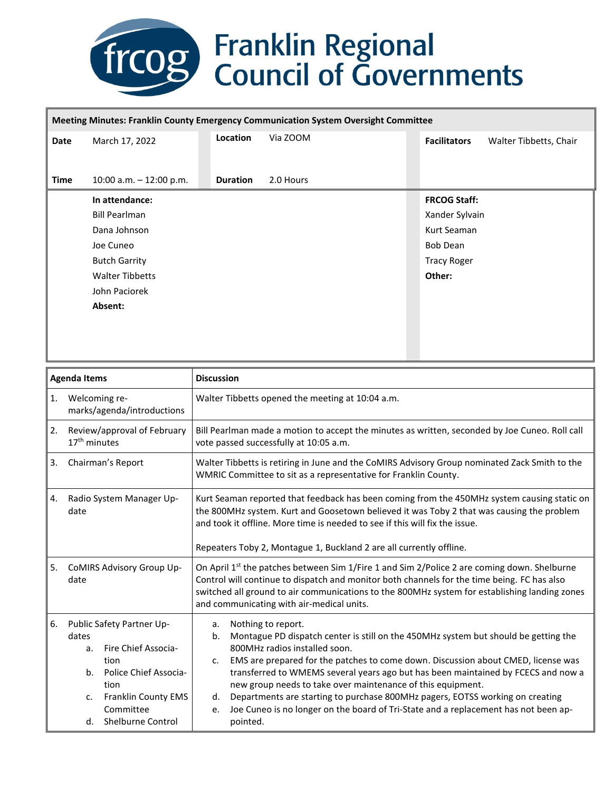## **freegerical**<br> **Franklin Regional**<br> **Council of Governments**

## **Meeting Minutes: Franklin County Emergency Communication System Oversight Committee**

| Date        | March 17, 2022            | Location        | Via ZOOM  | Walter Tibbetts, Chair<br><b>Facilitators</b> |
|-------------|---------------------------|-----------------|-----------|-----------------------------------------------|
| <b>Time</b> | 10:00 a.m. $-$ 12:00 p.m. | <b>Duration</b> | 2.0 Hours |                                               |
|             | In attendance:            |                 |           | <b>FRCOG Staff:</b>                           |
|             | <b>Bill Pearlman</b>      |                 |           | Xander Sylvain                                |
|             | Dana Johnson              |                 |           | Kurt Seaman                                   |
|             | Joe Cuneo                 |                 |           | <b>Bob Dean</b>                               |
|             | <b>Butch Garrity</b>      |                 |           | <b>Tracy Roger</b>                            |
|             | <b>Walter Tibbetts</b>    |                 |           | Other:                                        |
|             | John Paciorek             |                 |           |                                               |
|             | Absent:                   |                 |           |                                               |
|             |                           |                 |           |                                               |
|             |                           |                 |           |                                               |

| <b>Agenda Items</b>                    |                                                                                                                                                                                            | <b>Discussion</b>                                                                                                                                                                                                                                                                                                                                                                                                                                                                                                                                                                                                 |  |  |  |  |
|----------------------------------------|--------------------------------------------------------------------------------------------------------------------------------------------------------------------------------------------|-------------------------------------------------------------------------------------------------------------------------------------------------------------------------------------------------------------------------------------------------------------------------------------------------------------------------------------------------------------------------------------------------------------------------------------------------------------------------------------------------------------------------------------------------------------------------------------------------------------------|--|--|--|--|
| 1.                                     | Welcoming re-<br>marks/agenda/introductions                                                                                                                                                | Walter Tibbetts opened the meeting at 10:04 a.m.                                                                                                                                                                                                                                                                                                                                                                                                                                                                                                                                                                  |  |  |  |  |
| 2.                                     | Review/approval of February<br>$17th$ minutes                                                                                                                                              | Bill Pearlman made a motion to accept the minutes as written, seconded by Joe Cuneo. Roll call<br>vote passed successfully at 10:05 a.m.                                                                                                                                                                                                                                                                                                                                                                                                                                                                          |  |  |  |  |
| Chairman's Report<br>3.                |                                                                                                                                                                                            | Walter Tibbetts is retiring in June and the CoMIRS Advisory Group nominated Zack Smith to the<br>WMRIC Committee to sit as a representative for Franklin County.                                                                                                                                                                                                                                                                                                                                                                                                                                                  |  |  |  |  |
| Radio System Manager Up-<br>4.<br>date |                                                                                                                                                                                            | Kurt Seaman reported that feedback has been coming from the 450MHz system causing static on<br>the 800MHz system. Kurt and Goosetown believed it was Toby 2 that was causing the problem<br>and took it offline. More time is needed to see if this will fix the issue.<br>Repeaters Toby 2, Montague 1, Buckland 2 are all currently offline.                                                                                                                                                                                                                                                                    |  |  |  |  |
| 5.                                     | CoMIRS Advisory Group Up-<br>date                                                                                                                                                          | On April 1 <sup>st</sup> the patches between Sim 1/Fire 1 and Sim 2/Police 2 are coming down. Shelburne<br>Control will continue to dispatch and monitor both channels for the time being. FC has also<br>switched all ground to air communications to the 800MHz system for establishing landing zones<br>and communicating with air-medical units.                                                                                                                                                                                                                                                              |  |  |  |  |
| 6.                                     | Public Safety Partner Up-<br>dates<br><b>Fire Chief Associa-</b><br>a.<br>tion<br>Police Chief Associa-<br>b.<br>tion<br>Franklin County EMS<br>c.<br>Committee<br>Shelburne Control<br>d. | Nothing to report.<br>a.<br>Montague PD dispatch center is still on the 450MHz system but should be getting the<br>b.<br>800MHz radios installed soon.<br>EMS are prepared for the patches to come down. Discussion about CMED, license was<br>$\mathsf{C}$ .<br>transferred to WMEMS several years ago but has been maintained by FCECS and now a<br>new group needs to take over maintenance of this equipment.<br>Departments are starting to purchase 800MHz pagers, EOTSS working on creating<br>d.<br>Joe Cuneo is no longer on the board of Tri-State and a replacement has not been ap-<br>e.<br>pointed. |  |  |  |  |